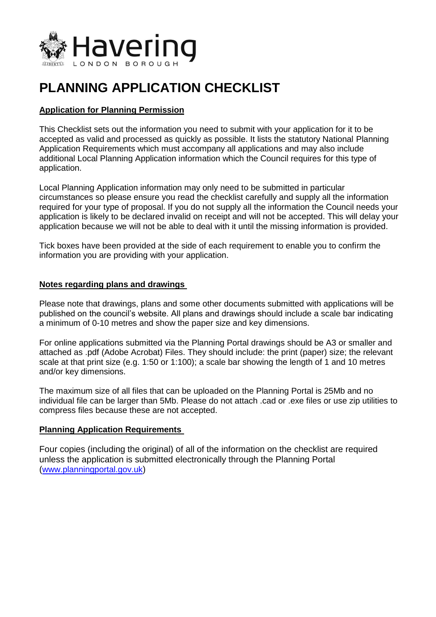

# **PLANNING APPLICATION CHECKLIST Application for Planning Permission**

# **Application for Planning Permission**

 This Checklist sets out the information you need to submit with your application for it to be accepted as valid and processed as quickly as possible. It lists the statutory National Planning Application Requirements which must accompany all applications and may also include additional Local Planning Application information which the Council requires for this type of application.

application.<br>Local Planning Application information may only need to be submitted in particular circumstances so please ensure you read the checklist carefully and supply all the information required for your type of proposal. If you do not supply all the information the Council needs your application is likely to be declared invalid on receipt and will not be accepted. This will delay your application because we will not be able to deal with it until the missing information is provided.

application because we will not be able to deal with it until the missing information is provided.<br>Tick boxes have been provided at the side of each requirement to enable you to confirm the information you are providing with your application.

#### **Notes regarding plans and drawings**

 Please note that drawings, plans and some other documents submitted with applications will be published on the council's website. All plans and drawings should include a scale bar indicating a minimum of 0-10 metres and show the paper size and key dimensions.

 For online applications submitted via the Planning Portal drawings should be A3 or smaller and attached as .pdf (Adobe Acrobat) Files. They should include: the print (paper) size; the relevant scale at that print size (e.g. 1:50 or 1:100); a scale bar showing the length of 1 and 10 metres and/or key dimensions.

and/or key dimensions.<br>The maximum size of all files that can be uploaded on the Planning Portal is 25Mb and no individual file can be larger than 5Mb. Please do not attach .cad or .exe files or use zip utilities to compress files because these are not accepted.

### **Planning Application Requirements**

 Four copies (including the original) of all of the information on the checklist are required unless the application is submitted electronically through the Planning Portal (<www.planningportal.gov.uk>)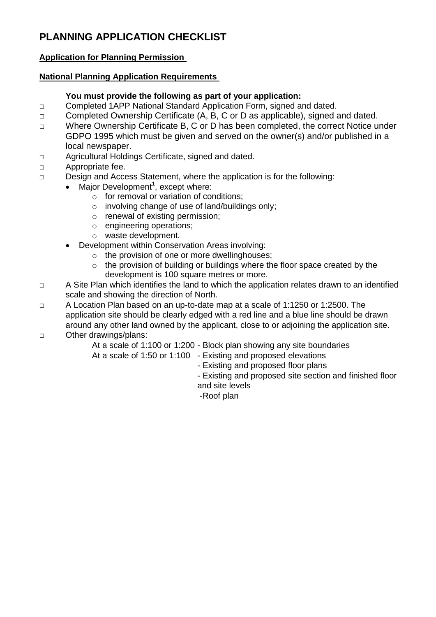# **PLANNING APPLICATION CHECKLIST Application for Planning Permission**

# **Application for Planning Permission**

## **National Planning Application Requirements**

## **You must provide the following as part of your application:**

- □ Completed 1APP National Standard Application Form, signed and dated.
- □ Completed Ownership Certificate (A, B, C or D as applicable), signed and dated.
- GDPO 1995 which must be given and served on the owner(s) and/or published in a □ Where Ownership Certificate B, C or D has been completed, the correct Notice under local newspaper.
- □ Agricultural Holdings Certificate, signed and dated.
- □ Appropriate fee.
- □ Design and Access Statement, where the application is for the following:
	- $\bullet$  Major Development<sup>1</sup>, except where:
		- $\circ$  for removal or variation of conditions;
		- o involving change of use of land/buildings only;
		- o renewal of existing permission;
		- o engineering operations;
		- o waste development.
		- Development within Conservation Areas involving:
			- o the provision of one or more dwellinghouses;
			- $\circ$  the provision of building or buildings where the floor space created by the development is 100 square metres or more.
- □ A Site Plan which identifies the land to which the application relates drawn to an identified scale and showing the direction of North.
- □ A Location Plan based on an up-to-date map at a scale of 1:1250 or 1:2500. The application site should be clearly edged with a red line and a blue line should be drawn around any other land owned by the applicant, close to or adjoining the application site. □ Other drawings/plans:
- - At a scale of 1:100 or 1:200 Block plan showing any site boundaries
	- At a scale of 1:50 or 1:100 Existing and proposed elevations
		- Existing and proposed floor plans
		- - Existing and proposed site section and finished floor and site levels
		- -Roof plan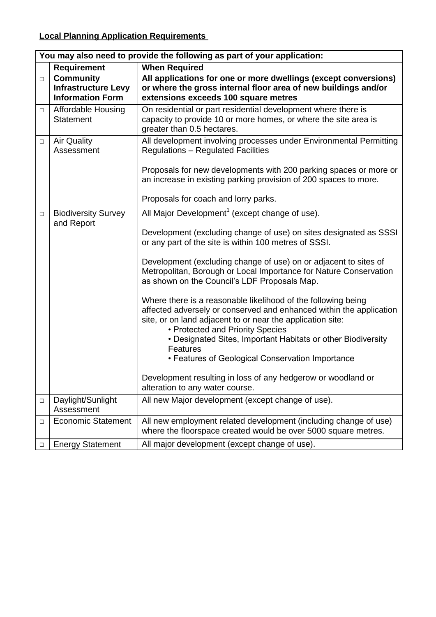# **Local Planning Application Requirements**

|        | You may also need to provide the following as part of your application:   |                                                                                                                                                                                                                                        |  |  |  |
|--------|---------------------------------------------------------------------------|----------------------------------------------------------------------------------------------------------------------------------------------------------------------------------------------------------------------------------------|--|--|--|
|        | <b>Requirement</b>                                                        | <b>When Required</b>                                                                                                                                                                                                                   |  |  |  |
| $\Box$ | <b>Community</b><br><b>Infrastructure Levy</b><br><b>Information Form</b> | All applications for one or more dwellings (except conversions)<br>or where the gross internal floor area of new buildings and/or<br>extensions exceeds 100 square metres                                                              |  |  |  |
| $\Box$ | Affordable Housing<br><b>Statement</b>                                    | On residential or part residential development where there is<br>capacity to provide 10 or more homes, or where the site area is<br>greater than 0.5 hectares.                                                                         |  |  |  |
| $\Box$ | <b>Air Quality</b><br>Assessment                                          | All development involving processes under Environmental Permitting<br><b>Regulations - Regulated Facilities</b><br>Proposals for new developments with 200 parking spaces or more or                                                   |  |  |  |
|        |                                                                           | an increase in existing parking provision of 200 spaces to more.<br>Proposals for coach and lorry parks.                                                                                                                               |  |  |  |
|        |                                                                           |                                                                                                                                                                                                                                        |  |  |  |
| $\Box$ | <b>Biodiversity Survey</b>                                                | All Major Development <sup>1</sup> (except change of use).                                                                                                                                                                             |  |  |  |
|        | and Report                                                                | Development (excluding change of use) on sites designated as SSSI<br>or any part of the site is within 100 metres of SSSI.                                                                                                             |  |  |  |
|        |                                                                           | Development (excluding change of use) on or adjacent to sites of<br>Metropolitan, Borough or Local Importance for Nature Conservation<br>as shown on the Council's LDF Proposals Map.                                                  |  |  |  |
|        |                                                                           | Where there is a reasonable likelihood of the following being<br>affected adversely or conserved and enhanced within the application<br>site, or on land adjacent to or near the application site:<br>• Protected and Priority Species |  |  |  |
|        |                                                                           | • Designated Sites, Important Habitats or other Biodiversity<br><b>Features</b><br>• Features of Geological Conservation Importance                                                                                                    |  |  |  |
|        |                                                                           | Development resulting in loss of any hedgerow or woodland or<br>alteration to any water course.                                                                                                                                        |  |  |  |
| $\Box$ | Daylight/Sunlight<br>Assessment                                           | All new Major development (except change of use).                                                                                                                                                                                      |  |  |  |
| $\Box$ | <b>Economic Statement</b>                                                 | All new employment related development (including change of use)<br>where the floorspace created would be over 5000 square metres.                                                                                                     |  |  |  |
| $\Box$ | <b>Energy Statement</b>                                                   | All major development (except change of use).                                                                                                                                                                                          |  |  |  |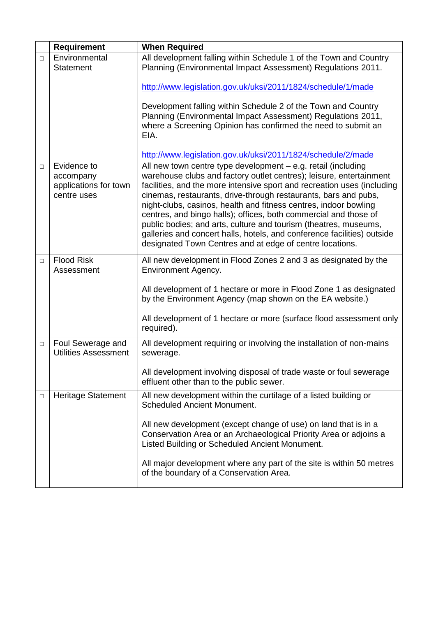|        | <b>Requirement</b>                                               | <b>When Required</b>                                                                                                                                                                                                                                                                                                                                                                                                                                                                                                                                                                                                                  |
|--------|------------------------------------------------------------------|---------------------------------------------------------------------------------------------------------------------------------------------------------------------------------------------------------------------------------------------------------------------------------------------------------------------------------------------------------------------------------------------------------------------------------------------------------------------------------------------------------------------------------------------------------------------------------------------------------------------------------------|
| $\Box$ | Environmental<br><b>Statement</b>                                | All development falling within Schedule 1 of the Town and Country<br>Planning (Environmental Impact Assessment) Regulations 2011.                                                                                                                                                                                                                                                                                                                                                                                                                                                                                                     |
|        |                                                                  | http://www.legislation.gov.uk/uksi/2011/1824/schedule/1/made                                                                                                                                                                                                                                                                                                                                                                                                                                                                                                                                                                          |
|        |                                                                  | Development falling within Schedule 2 of the Town and Country<br>Planning (Environmental Impact Assessment) Regulations 2011,<br>where a Screening Opinion has confirmed the need to submit an<br>EIA.                                                                                                                                                                                                                                                                                                                                                                                                                                |
|        |                                                                  | http://www.legislation.gov.uk/uksi/2011/1824/schedule/2/made                                                                                                                                                                                                                                                                                                                                                                                                                                                                                                                                                                          |
| $\Box$ | Evidence to<br>accompany<br>applications for town<br>centre uses | All new town centre type development - e.g. retail (including<br>warehouse clubs and factory outlet centres); leisure, entertainment<br>facilities, and the more intensive sport and recreation uses (including<br>cinemas, restaurants, drive-through restaurants, bars and pubs,<br>night-clubs, casinos, health and fitness centres, indoor bowling<br>centres, and bingo halls); offices, both commercial and those of<br>public bodies; and arts, culture and tourism (theatres, museums,<br>galleries and concert halls, hotels, and conference facilities) outside<br>designated Town Centres and at edge of centre locations. |
| $\Box$ | <b>Flood Risk</b><br>Assessment                                  | All new development in Flood Zones 2 and 3 as designated by the<br><b>Environment Agency.</b>                                                                                                                                                                                                                                                                                                                                                                                                                                                                                                                                         |
|        |                                                                  | All development of 1 hectare or more in Flood Zone 1 as designated<br>by the Environment Agency (map shown on the EA website.)                                                                                                                                                                                                                                                                                                                                                                                                                                                                                                        |
|        |                                                                  | All development of 1 hectare or more (surface flood assessment only<br>required).                                                                                                                                                                                                                                                                                                                                                                                                                                                                                                                                                     |
| $\Box$ | Foul Sewerage and<br><b>Utilities Assessment</b>                 | All development requiring or involving the installation of non-mains<br>sewerage.                                                                                                                                                                                                                                                                                                                                                                                                                                                                                                                                                     |
|        |                                                                  | All development involving disposal of trade waste or foul sewerage<br>effluent other than to the public sewer.                                                                                                                                                                                                                                                                                                                                                                                                                                                                                                                        |
| □      | <b>Heritage Statement</b>                                        | All new development within the curtilage of a listed building or<br><b>Scheduled Ancient Monument.</b>                                                                                                                                                                                                                                                                                                                                                                                                                                                                                                                                |
|        |                                                                  | All new development (except change of use) on land that is in a<br>Conservation Area or an Archaeological Priority Area or adjoins a<br>Listed Building or Scheduled Ancient Monument.                                                                                                                                                                                                                                                                                                                                                                                                                                                |
|        |                                                                  | All major development where any part of the site is within 50 metres<br>of the boundary of a Conservation Area.                                                                                                                                                                                                                                                                                                                                                                                                                                                                                                                       |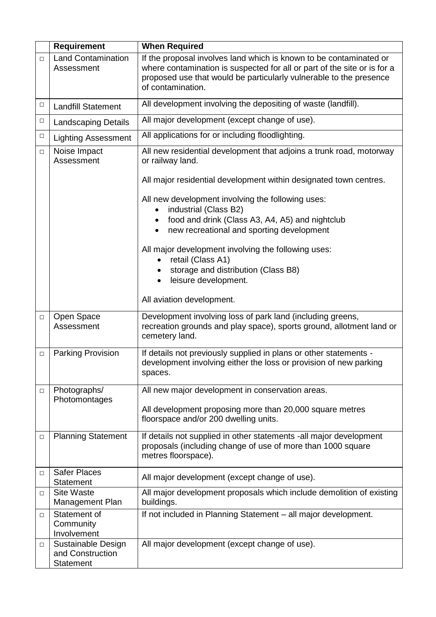|        | <b>Requirement</b>                                  | <b>When Required</b>                                                                                                                                                                                                                      |
|--------|-----------------------------------------------------|-------------------------------------------------------------------------------------------------------------------------------------------------------------------------------------------------------------------------------------------|
| $\Box$ | <b>Land Contamination</b><br>Assessment             | If the proposal involves land which is known to be contaminated or<br>where contamination is suspected for all or part of the site or is for a<br>proposed use that would be particularly vulnerable to the presence<br>of contamination. |
| □      | <b>Landfill Statement</b>                           | All development involving the depositing of waste (landfill).                                                                                                                                                                             |
| $\Box$ | <b>Landscaping Details</b>                          | All major development (except change of use).                                                                                                                                                                                             |
| □      | <b>Lighting Assessment</b>                          | All applications for or including floodlighting.                                                                                                                                                                                          |
| $\Box$ | Noise Impact<br>Assessment                          | All new residential development that adjoins a trunk road, motorway<br>or railway land.<br>All major residential development within designated town centres.                                                                              |
|        |                                                     | All new development involving the following uses:<br>industrial (Class B2)<br>food and drink (Class A3, A4, A5) and nightclub<br>new recreational and sporting development                                                                |
|        |                                                     | All major development involving the following uses:<br>retail (Class A1)<br>storage and distribution (Class B8)<br>leisure development.<br>$\bullet$                                                                                      |
|        |                                                     | All aviation development.                                                                                                                                                                                                                 |
| □      | Open Space<br>Assessment                            | Development involving loss of park land (including greens,<br>recreation grounds and play space), sports ground, allotment land or<br>cemetery land.                                                                                      |
| $\Box$ | <b>Parking Provision</b>                            | If details not previously supplied in plans or other statements -<br>development involving either the loss or provision of new parking<br>spaces.                                                                                         |
| □      | Photographs/                                        | All new major development in conservation areas.                                                                                                                                                                                          |
|        | Photomontages                                       | All development proposing more than 20,000 square metres<br>floorspace and/or 200 dwelling units.                                                                                                                                         |
| □      | <b>Planning Statement</b>                           | If details not supplied in other statements -all major development<br>proposals (including change of use of more than 1000 square<br>metres floorspace).                                                                                  |
| □      | <b>Safer Places</b><br>Statement                    | All major development (except change of use).                                                                                                                                                                                             |
| □      | <b>Site Waste</b><br>Management Plan                | All major development proposals which include demolition of existing<br>buildings.                                                                                                                                                        |
| □      | Statement of<br>Community<br>Involvement            | If not included in Planning Statement - all major development.                                                                                                                                                                            |
| □      | Sustainable Design<br>and Construction<br>Statement | All major development (except change of use).                                                                                                                                                                                             |